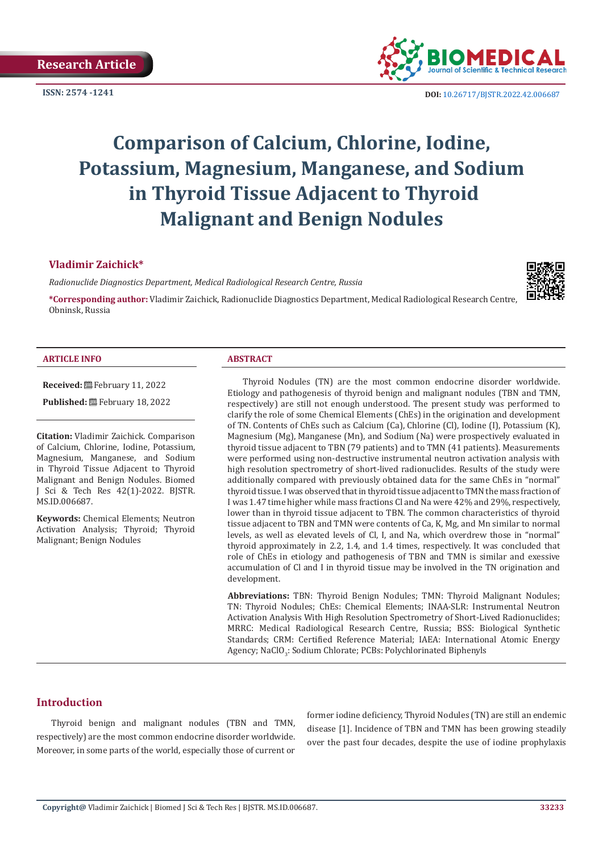

**ISSN:** 2574 -1241 **DOI:** [10.26717/BJSTR.2022.42.006687](https://dx.doi.org/10.26717/BJSTR.2022.42.006687)

# **Comparison of Calcium, Chlorine, Iodine, Potassium, Magnesium, Manganese, and Sodium in Thyroid Tissue Adjacent to Thyroid Malignant and Benign Nodules**

# **Vladimir Zaichick\***

*Radionuclide Diagnostics Department, Medical Radiological Research Centre, Russia*

**\*Corresponding author:** Vladimir Zaichick, Radionuclide Diagnostics Department, Medical Radiological Research Centre, Obninsk, Russia

#### **ARTICLE INFO ABSTRACT**

**Received:** February 11, 2022 Published: **■**February 18, 2022

**Citation:** Vladimir Zaichick. Comparison of Calcium, Chlorine, Iodine, Potassium, Magnesium, Manganese, and Sodium in Thyroid Tissue Adjacent to Thyroid Malignant and Benign Nodules. Biomed J Sci & Tech Res 42(1)-2022. BJSTR. MS.ID.006687.

**Keywords:** Chemical Elements; Neutron Activation Analysis; Thyroid; Thyroid Malignant; Benign Nodules

Thyroid Nodules (TN) are the most common endocrine disorder worldwide. Etiology and pathogenesis of thyroid benign and malignant nodules (TBN and TMN, respectively) are still not enough understood. The present study was performed to clarify the role of some Chemical Elements (ChEs) in the origination and development of TN. Contents of ChEs such as Calcium (Ca), Chlorine (Cl), Iodine (I), Potassium (K), Magnesium (Mg), Manganese (Mn), and Sodium (Na) were prospectively evaluated in thyroid tissue adjacent to TBN (79 patients) and to TMN (41 patients). Measurements were performed using non-destructive instrumental neutron activation analysis with high resolution spectrometry of short-lived radionuclides. Results of the study were additionally compared with previously obtained data for the same ChEs in "normal" thyroid tissue. I was observed that in thyroid tissue adjacent to TMN the mass fraction of I was 1.47 time higher while mass fractions Cl and Na were 42% and 29%, respectively, lower than in thyroid tissue adjacent to TBN. The common characteristics of thyroid tissue adjacent to TBN and TMN were contents of Ca, K, Mg, and Mn similar to normal levels, as well as elevated levels of Cl, I, and Na, which overdrew those in "normal" thyroid approximately in 2.2, 1.4, and 1.4 times, respectively. It was concluded that role of ChEs in etiology and pathogenesis of TBN and TMN is similar and exessive accumulation of Cl and I in thyroid tissue may be involved in the TN origination and development.

**Abbreviations:** TBN: Thyroid Benign Nodules; TMN: Thyroid Malignant Nodules; TN: Thyroid Nodules; ChEs: Chemical Elements; INAA-SLR: Instrumental Neutron Activation Analysis With High Resolution Spectrometry of Short-Lived Radionuclides; MRRC: Medical Radiological Research Centre, Russia; BSS: Biological Synthetic Standards; CRM: Certified Reference Material; IAEA: International Atomic Energy Agency; NaClO<sub>3</sub>: Sodium Chlorate; PCBs: Polychlorinated Biphenyls

# **Introduction**

Thyroid benign and malignant nodules (TBN and TMN, respectively) are the most common endocrine disorder worldwide. Moreover, in some parts of the world, especially those of current or former iodine deficiency, Thyroid Nodules (TN) are still an endemic disease [1]. Incidence of TBN and TMN has been growing steadily over the past four decades, despite the use of iodine prophylaxis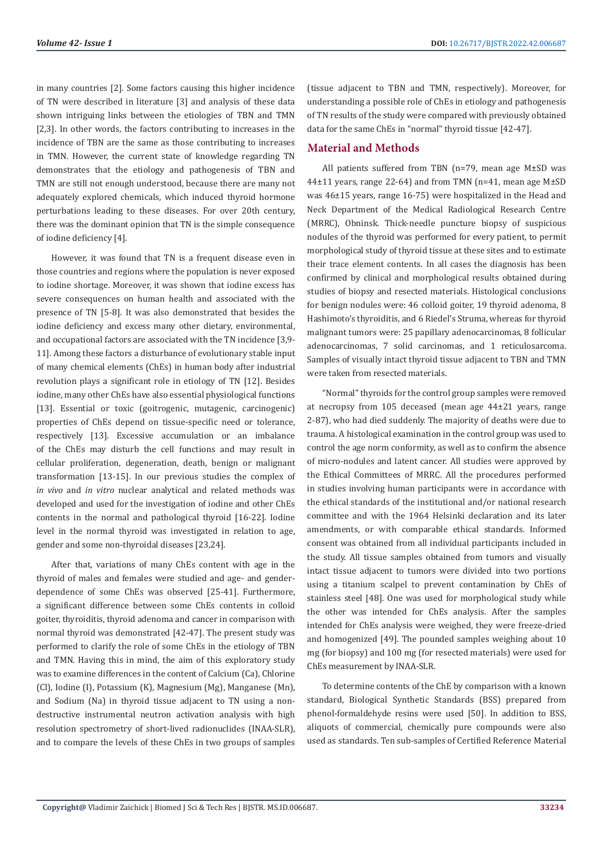in many countries [2]. Some factors causing this higher incidence of TN were described in literature [3] and analysis of these data shown intriguing links between the etiologies of TBN and TMN [2,3]. In other words, the factors contributing to increases in the incidence of TBN are the same as those contributing to increases in TMN. However, the current state of knowledge regarding TN demonstrates that the etiology and pathogenesis of TBN and TMN are still not enough understood, because there are many not adequately explored chemicals, which induced thyroid hormone perturbations leading to these diseases. For over 20th century, there was the dominant opinion that TN is the simple consequence of iodine deficiency [4].

However, it was found that TN is a frequent disease even in those countries and regions where the population is never exposed to iodine shortage. Moreover, it was shown that iodine excess has severe consequences on human health and associated with the presence of TN [5-8]. It was also demonstrated that besides the iodine deficiency and excess many other dietary, environmental, and occupational factors are associated with the TN incidence [3,9- 11]. Among these factors a disturbance of evolutionary stable input of many chemical elements (ChEs) in human body after industrial revolution plays a significant role in etiology of TN [12]. Besides iodine, many other ChEs have also essential physiological functions [13]. Essential or toxic (goitrogenic, mutagenic, carcinogenic) properties of ChEs depend on tissue-specific need or tolerance, respectively [13]. Excessive accumulation or an imbalance of the ChEs may disturb the cell functions and may result in cellular proliferation, degeneration, death, benign or malignant transformation [13-15]. In our previous studies the complex of *in vivo* and *in vitro* nuclear analytical and related methods was developed and used for the investigation of iodine and other ChEs contents in the normal and pathological thyroid [16-22]. Iodine level in the normal thyroid was investigated in relation to age, gender and some non-thyroidal diseases [23,24].

After that, variations of many ChEs content with age in the thyroid of males and females were studied and age- and genderdependence of some ChEs was observed [25-41]. Furthermore, a significant difference between some ChEs contents in colloid goiter, thyroiditis, thyroid adenoma and cancer in comparison with normal thyroid was demonstrated [42-47]. The present study was performed to clarify the role of some ChEs in the etiology of TBN and TMN. Having this in mind, the aim of this exploratory study was to examine differences in the content of Calcium (Ca), Chlorine (Cl), Iodine (I), Potassium (K), Magnesium (Mg), Manganese (Mn), and Sodium (Na) in thyroid tissue adjacent to TN using a nondestructive instrumental neutron activation analysis with high resolution spectrometry of short-lived radionuclides (INAA-SLR), and to compare the levels of these ChEs in two groups of samples

(tissue adjacent to TBN and TMN, respectively). Moreover, for understanding a possible role of ChEs in etiology and pathogenesis of TN results of the study were compared with previously obtained data for the same ChEs in "normal" thyroid tissue [42-47].

# **Material and Methods**

All patients suffered from TBN (n=79, mean age M±SD was 44±11 years, range 22-64) and from TMN (n=41, mean age M±SD was 46±15 years, range 16-75) were hospitalized in the Head and Neck Department of the Medical Radiological Research Centre (MRRC), Obninsk. Thick-needle puncture biopsy of suspicious nodules of the thyroid was performed for every patient, to permit morphological study of thyroid tissue at these sites and to estimate their trace element contents. In all cases the diagnosis has been confirmed by clinical and morphological results obtained during studies of biopsy and resected materials. Histological conclusions for benign nodules were: 46 colloid goiter, 19 thyroid adenoma, 8 Hashimoto's thyroiditis, and 6 Riedel's Struma, whereas for thyroid malignant tumors were: 25 papillary adenocarcinomas, 8 follicular adenocarcinomas, 7 solid carcinomas, and 1 reticulosarcoma. Samples of visually intact thyroid tissue adjacent to TBN and TMN were taken from resected materials.

"Normal" thyroids for the control group samples were removed at necropsy from 105 deceased (mean age 44±21 years, range 2-87), who had died suddenly. The majority of deaths were due to trauma. A histological examination in the control group was used to control the age norm conformity, as well as to confirm the absence of micro-nodules and latent cancer. All studies were approved by the Ethical Committees of MRRC. All the procedures performed in studies involving human participants were in accordance with the ethical standards of the institutional and/or national research committee and with the 1964 Helsinki declaration and its later amendments, or with comparable ethical standards. Informed consent was obtained from all individual participants included in the study. All tissue samples obtained from tumors and visually intact tissue adjacent to tumors were divided into two portions using a titanium scalpel to prevent contamination by ChEs of stainless steel [48]. One was used for morphological study while the other was intended for ChEs analysis. After the samples intended for ChEs analysis were weighed, they were freeze-dried and homogenized [49]. The pounded samples weighing about 10 mg (for biopsy) and 100 mg (for resected materials) were used for ChEs measurement by INAA-SLR.

To determine contents of the ChE by comparison with a known standard, Biological Synthetic Standards (BSS) prepared from phenol-formaldehyde resins were used [50]. In addition to BSS, aliquots of commercial, chemically pure compounds were also used as standards. Ten sub-samples of Certified Reference Material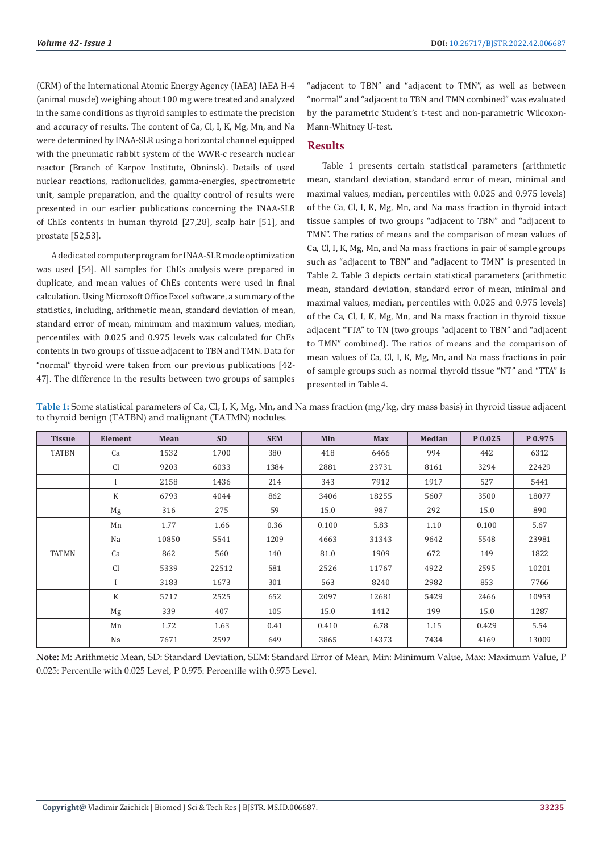(CRM) of the International Atomic Energy Agency (IAEA) IAEA H-4 (animal muscle) weighing about 100 mg were treated and analyzed in the same conditions as thyroid samples to estimate the precision and accuracy of results. The content of Ca, Cl, I, K, Mg, Mn, and Na were determined by INAA-SLR using a horizontal channel equipped with the pneumatic rabbit system of the WWR-c research nuclear reactor (Branch of Karpov Institute, Obninsk). Details of used nuclear reactions, radionuclides, gamma-energies, spectrometric unit, sample preparation, and the quality control of results were presented in our earlier publications concerning the INAA-SLR of ChEs contents in human thyroid [27,28], scalp hair [51], and prostate [52,53].

A dedicated computer program for INAA-SLR mode optimization was used [54]. All samples for ChEs analysis were prepared in duplicate, and mean values of ChEs contents were used in final calculation. Using Microsoft Office Excel software, a summary of the statistics, including, arithmetic mean, standard deviation of mean, standard error of mean, minimum and maximum values, median, percentiles with 0.025 and 0.975 levels was calculated for ChEs contents in two groups of tissue adjacent to TBN and TMN. Data for "normal" thyroid were taken from our previous publications [42- 47]. The difference in the results between two groups of samples

"adjacent to TBN" and "adjacent to TMN", as well as between "normal" and "adjacent to TBN and TMN combined" was evaluated by the parametric Student's t-test and non-parametric Wilcoxon-Mann-Whitney U-test.

# **Results**

Table 1 presents certain statistical parameters (arithmetic mean, standard deviation, standard error of mean, minimal and maximal values, median, percentiles with 0.025 and 0.975 levels) of the Ca, Cl, I, K, Mg, Mn, and Na mass fraction in thyroid intact tissue samples of two groups "adjacent to TBN" and "adjacent to TMN". The ratios of means and the comparison of mean values of Ca, Cl, I, K, Mg, Mn, and Na mass fractions in pair of sample groups such as "adjacent to TBN" and "adjacent to TMN" is presented in Table 2. Table 3 depicts certain statistical parameters (arithmetic mean, standard deviation, standard error of mean, minimal and maximal values, median, percentiles with 0.025 and 0.975 levels) of the Ca, Cl, I, K, Mg, Mn, and Na mass fraction in thyroid tissue adjacent "TTA" to TN (two groups "adjacent to TBN" and "adjacent to TMN" combined). The ratios of means and the comparison of mean values of Ca, Cl, I, K, Mg, Mn, and Na mass fractions in pair of sample groups such as normal thyroid tissue "NT" and "TTA" is presented in Table 4.

**Table 1:** Some statistical parameters of Ca, Cl, I, K, Mg, Mn, and Na mass fraction (mg/kg, dry mass basis) in thyroid tissue adjacent to thyroid benign (TATBN) and malignant (TATMN) nodules.

| <b>Tissue</b> | <b>Element</b> | Mean  | <b>SD</b> | <b>SEM</b> | Min   | <b>Max</b> | <b>Median</b> | P 0.025 | P 0.975 |
|---------------|----------------|-------|-----------|------------|-------|------------|---------------|---------|---------|
| <b>TATBN</b>  | Ca             | 1532  | 1700      | 380        | 418   | 6466       | 994           | 442     | 6312    |
|               | Cl             | 9203  | 6033      | 1384       | 2881  | 23731      | 8161          | 3294    | 22429   |
|               | $\mathbf{I}$   | 2158  | 1436      | 214        | 343   | 7912       | 1917          | 527     | 5441    |
|               | $\mathbf K$    | 6793  | 4044      | 862        | 3406  | 18255      | 5607          | 3500    | 18077   |
|               | Mg             | 316   | 275       | 59         | 15.0  | 987        | 292           | 15.0    | 890     |
|               | Mn             | 1.77  | 1.66      | 0.36       | 0.100 | 5.83       | 1.10          | 0.100   | 5.67    |
|               | Na             | 10850 | 5541      | 1209       | 4663  | 31343      | 9642          | 5548    | 23981   |
| <b>TATMN</b>  | Ca             | 862   | 560       | 140        | 81.0  | 1909       | 672           | 149     | 1822    |
|               | <b>Cl</b>      | 5339  | 22512     | 581        | 2526  | 11767      | 4922          | 2595    | 10201   |
|               | $\mathbf{I}$   | 3183  | 1673      | 301        | 563   | 8240       | 2982          | 853     | 7766    |
|               | $\rm K$        | 5717  | 2525      | 652        | 2097  | 12681      | 5429          | 2466    | 10953   |
|               | Mg             | 339   | 407       | 105        | 15.0  | 1412       | 199           | 15.0    | 1287    |
|               | Mn             | 1.72  | 1.63      | 0.41       | 0.410 | 6.78       | 1.15          | 0.429   | 5.54    |
|               | Na             | 7671  | 2597      | 649        | 3865  | 14373      | 7434          | 4169    | 13009   |

**Note:** M: Arithmetic Mean, SD: Standard Deviation, SEM: Standard Error of Mean, Min: Minimum Value, Max: Maximum Value, P 0.025: Percentile with 0.025 Level, P 0.975: Percentile with 0.975 Level.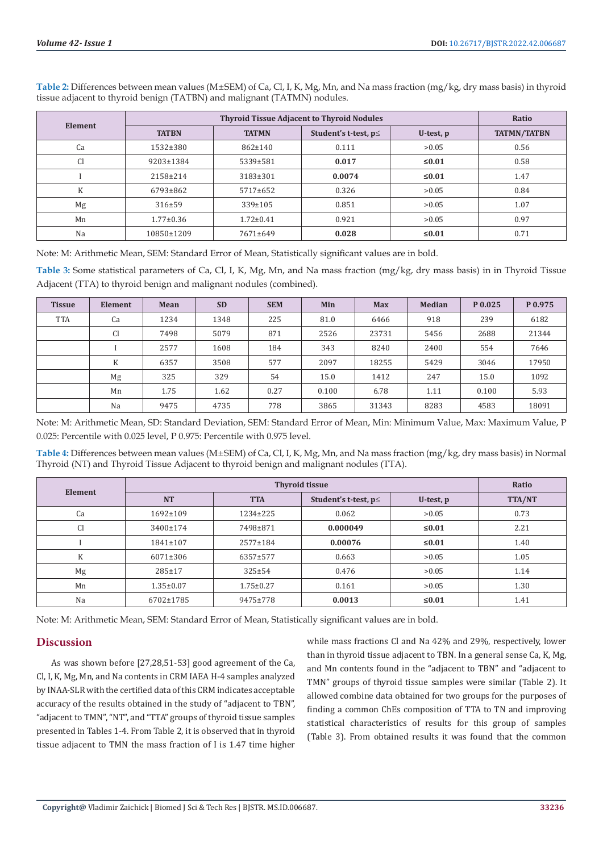|                |                 | Ratio           |                      |           |                    |
|----------------|-----------------|-----------------|----------------------|-----------|--------------------|
| <b>Element</b> | <b>TATBN</b>    | <b>TATMN</b>    | Student's t-test, p≤ | U-test, p | <b>TATMN/TATBN</b> |
| Ca             | 1532±380        | $862 \pm 140$   | 0.111                | >0.05     | 0.56               |
| <b>Cl</b>      | 9203±1384       | 5339±581        | 0.017                | $≤0.01$   | 0.58               |
|                | 2158±214        | 3183±301        | 0.0074               | ≤ $0.01$  | 1.47               |
| K              | 6793±862        | 5717±652        | 0.326                | >0.05     | 0.84               |
| Mg             | 316±59          | $339 \pm 105$   | 0.851                | >0.05     | 1.07               |
| Mn             | $1.77 \pm 0.36$ | $1.72 \pm 0.41$ | 0.921                | >0.05     | 0.97               |
| Na             | 10850±1209      | $7671 \pm 649$  | 0.028                | ≤ $0.01$  | 0.71               |

Table 2: Differences between mean values (M±SEM) of Ca, Cl, I, K, Mg, Mn, and Na mass fraction (mg/kg, dry mass basis) in thyroid tissue adjacent to thyroid benign (TATBN) and malignant (TATMN) nodules.

Note: M: Arithmetic Mean, SEM: Standard Error of Mean, Statistically significant values are in bold.

**Table 3:** Some statistical parameters of Ca, Cl, I, K, Mg, Mn, and Na mass fraction (mg/kg, dry mass basis) in in Thyroid Tissue Adjacent (TTA) to thyroid benign and malignant nodules (combined).

| <b>Tissue</b> | Element       | Mean | <b>SD</b> | <b>SEM</b> | Min   | <b>Max</b> | <b>Median</b> | P 0.025 | P 0.975 |
|---------------|---------------|------|-----------|------------|-------|------------|---------------|---------|---------|
| <b>TTA</b>    | Ca            | 1234 | 1348      | 225        | 81.0  | 6466       | 918           | 239     | 6182    |
|               | <sub>C1</sub> | 7498 | 5079      | 871        | 2526  | 23731      | 5456          | 2688    | 21344   |
|               |               | 2577 | 1608      | 184        | 343   | 8240       | 2400          | 554     | 7646    |
|               | K             | 6357 | 3508      | 577        | 2097  | 18255      | 5429          | 3046    | 17950   |
|               | Mg            | 325  | 329       | 54         | 15.0  | 1412       | 247           | 15.0    | 1092    |
|               | Mn            | 1.75 | 1.62      | 0.27       | 0.100 | 6.78       | 1.11          | 0.100   | 5.93    |
|               | Na            | 9475 | 4735      | 778        | 3865  | 31343      | 8283          | 4583    | 18091   |

Note: M: Arithmetic Mean, SD: Standard Deviation, SEM: Standard Error of Mean, Min: Minimum Value, Max: Maximum Value, P 0.025: Percentile with 0.025 level, P 0.975: Percentile with 0.975 level.

Table 4: Differences between mean values (M±SEM) of Ca, Cl, I, K, Mg, Mn, and Na mass fraction (mg/kg, dry mass basis) in Normal Thyroid (NT) and Thyroid Tissue Adjacent to thyroid benign and malignant nodules (TTA).

|           |                 | Ratio           |                            |           |               |
|-----------|-----------------|-----------------|----------------------------|-----------|---------------|
| Element   | <b>NT</b>       | <b>TTA</b>      | Student's t-test, $p \leq$ | U-test, p | <b>TTA/NT</b> |
| Ca        | 1692±109        | $1234 \pm 225$  | 0.062                      | >0.05     | 0.73          |
| <b>Cl</b> | 3400±174        | 7498±871        | 0.000049                   | $≤0.01$   | 2.21          |
|           | $1841 \pm 107$  | $2577 \pm 184$  | 0.00076                    | $≤0.01$   | 1.40          |
| K         | 6071±306        | 6357±577        | 0.663                      | >0.05     | 1.05          |
| Mg        | 285±17          | $325 \pm 54$    | 0.476                      | >0.05     | 1.14          |
| Mn        | $1.35 \pm 0.07$ | $1.75 \pm 0.27$ | 0.161                      | >0.05     | 1.30          |
| Na        | 6702±1785       | 9475±778        | 0.0013                     | $≤0.01$   | 1.41          |

Note: M: Arithmetic Mean, SEM: Standard Error of Mean, Statistically significant values are in bold.

# **Discussion**

As was shown before [27,28,51-53] good agreement of the Ca, Cl, I, K, Mg, Mn, and Na contents in CRM IAEA H-4 samples analyzed by INAA-SLR with the certified data of this CRM indicates acceptable accuracy of the results obtained in the study of "adjacent to TBN", "adjacent to TMN", "NT", and "TTA" groups of thyroid tissue samples presented in Tables 1-4. From Table 2, it is observed that in thyroid tissue adjacent to TMN the mass fraction of I is 1.47 time higher while mass fractions Cl and Na 42% and 29%, respectively, lower than in thyroid tissue adjacent to TBN. In a general sense Ca, K, Mg, and Mn contents found in the "adjacent to TBN" and "adjacent to TMN" groups of thyroid tissue samples were similar (Table 2). It allowed combine data obtained for two groups for the purposes of finding a common ChEs composition of TTA to TN and improving statistical characteristics of results for this group of samples (Table 3). From obtained results it was found that the common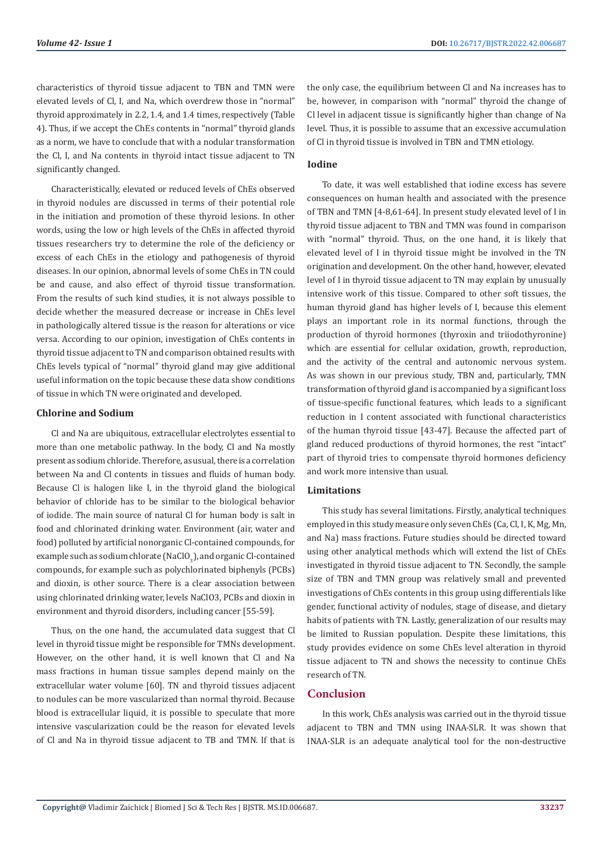characteristics of thyroid tissue adjacent to TBN and TMN were elevated levels of Cl, I, and Na, which overdrew those in "normal" thyroid approximately in 2.2, 1.4, and 1.4 times, respectively (Table 4). Thus, if we accept the ChEs contents in "normal" thyroid glands as a norm, we have to conclude that with a nodular transformation the Cl, I, and Na contents in thyroid intact tissue adjacent to TN significantly changed.

Characteristically, elevated or reduced levels of ChEs observed in thyroid nodules are discussed in terms of their potential role in the initiation and promotion of these thyroid lesions. In other words, using the low or high levels of the ChEs in affected thyroid tissues researchers try to determine the role of the deficiency or excess of each ChEs in the etiology and pathogenesis of thyroid diseases. In our opinion, abnormal levels of some ChEs in TN could be and cause, and also effect of thyroid tissue transformation. From the results of such kind studies, it is not always possible to decide whether the measured decrease or increase in ChEs level in pathologically altered tissue is the reason for alterations or vice versa. According to our opinion, investigation of ChEs contents in thyroid tissue adjacent to TN and comparison obtained results with ChEs levels typical of "normal" thyroid gland may give additional useful information on the topic because these data show conditions of tissue in which TN were originated and developed.

#### **Chlorine and Sodium**

Cl and Na are ubiquitous, extracellular electrolytes essential to more than one metabolic pathway. In the body, Cl and Na mostly present as sodium chloride. Therefore, as usual, there is a correlation between Na and Cl contents in tissues and fluids of human body. Because Cl is halogen like I, in the thyroid gland the biological behavior of chloride has to be similar to the biological behavior of iodide. The main source of natural Cl for human body is salt in food and chlorinated drinking water. Environment (air, water and food) polluted by artificial nonorganic Cl-contained compounds, for example such as sodium chlorate (NaClO $_3$ ), and organic Cl-contained compounds, for example such as polychlorinated biphenyls (PCBs) and dioxin, is other source. There is a clear association between using chlorinated drinking water, levels NaClO3, PCBs and dioxin in environment and thyroid disorders, including cancer [55-59].

Thus, on the one hand, the accumulated data suggest that Cl level in thyroid tissue might be responsible for TMNs development. However, on the other hand, it is well known that Cl and Na mass fractions in human tissue samples depend mainly on the extracellular water volume [60]. TN and thyroid tissues adjacent to nodules can be more vascularized than normal thyroid. Because blood is extracellular liquid, it is possible to speculate that more intensive vascularization could be the reason for elevated levels of Cl and Na in thyroid tissue adjacent to TB and TMN. If that is the only case, the equilibrium between Cl and Na increases has to be, however, in comparison with "normal" thyroid the change of Cl level in adjacent tissue is significantly higher than change of Na level. Thus, it is possible to assume that an excessive accumulation of Cl in thyroid tissue is involved in TBN and TMN etiology.

#### **Iodine**

To date, it was well established that iodine excess has severe consequences on human health and associated with the presence of TBN and TMN [4-8,61-64]. In present study elevated level of I in thyroid tissue adjacent to TBN and TMN was found in comparison with "normal" thyroid. Thus, on the one hand, it is likely that elevated level of I in thyroid tissue might be involved in the TN origination and development. On the other hand, however, elevated level of I in thyroid tissue adjacent to TN may explain by unusually intensive work of this tissue. Compared to other soft tissues, the human thyroid gland has higher levels of I, because this element plays an important role in its normal functions, through the production of thyroid hormones (thyroxin and triiodothyronine) which are essential for cellular oxidation, growth, reproduction, and the activity of the central and autonomic nervous system. As was shown in our previous study, TBN and, particularly, TMN transformation of thyroid gland is accompanied by a significant loss of tissue-specific functional features, which leads to a significant reduction in I content associated with functional characteristics of the human thyroid tissue [43-47]. Because the affected part of gland reduced productions of thyroid hormones, the rest "intact" part of thyroid tries to compensate thyroid hormones deficiency and work more intensive than usual.

#### **Limitations**

This study has several limitations. Firstly, analytical techniques employed in this study measure only seven ChEs (Ca, Cl, I, K, Mg, Mn, and Na) mass fractions. Future studies should be directed toward using other analytical methods which will extend the list of ChEs investigated in thyroid tissue adjacent to TN. Secondly, the sample size of TBN and TMN group was relatively small and prevented investigations of ChEs contents in this group using differentials like gender, functional activity of nodules, stage of disease, and dietary habits of patients with TN. Lastly, generalization of our results may be limited to Russian population. Despite these limitations, this study provides evidence on some ChEs level alteration in thyroid tissue adjacent to TN and shows the necessity to continue ChEs research of TN.

# **Conclusion**

In this work, ChEs analysis was carried out in the thyroid tissue adjacent to TBN and TMN using INAA-SLR. It was shown that INAA-SLR is an adequate analytical tool for the non-destructive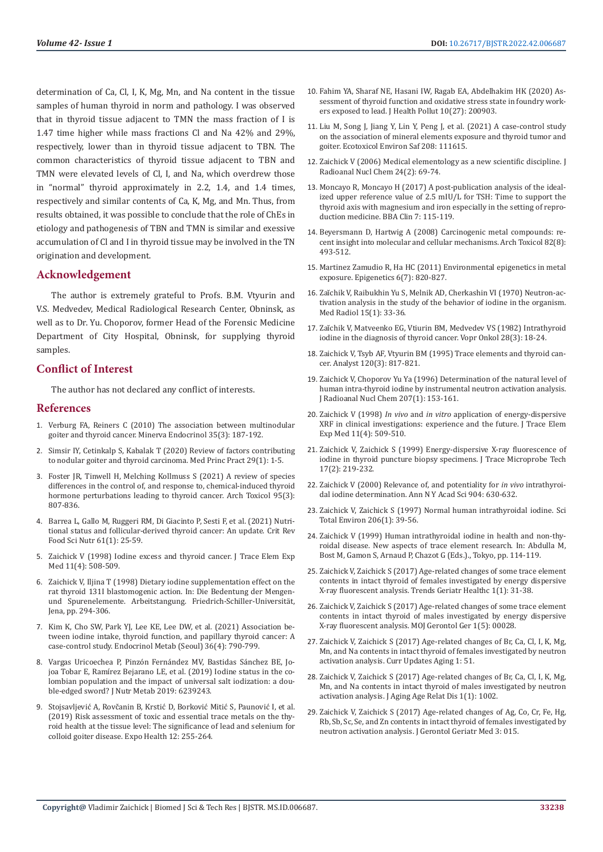determination of Ca, Cl, I, K, Mg, Mn, and Na content in the tissue samples of human thyroid in norm and pathology. I was observed that in thyroid tissue adjacent to TMN the mass fraction of I is 1.47 time higher while mass fractions Cl and Na 42% and 29%, respectively, lower than in thyroid tissue adjacent to TBN. The common characteristics of thyroid tissue adjacent to TBN and TMN were elevated levels of Cl, I, and Na, which overdrew those in "normal" thyroid approximately in 2.2, 1.4, and 1.4 times, respectively and similar contents of Ca, K, Mg, and Mn. Thus, from results obtained, it was possible to conclude that the role of ChEs in etiology and pathogenesis of TBN and TMN is similar and exessive accumulation of Cl and I in thyroid tissue may be involved in the TN origination and development.

# **Acknowledgement**

The author is extremely grateful to Profs. B.M. Vtyurin and V.S. Medvedev, Medical Radiological Research Center, Obninsk, as well as to Dr. Yu. Choporov, former Head of the Forensic Medicine Department of City Hospital, Obninsk, for supplying thyroid samples.

### **Conflict of Interest**

The author has not declared any conflict of interests.

#### **References**

- 1. [Verburg FA, Reiners C \(2010\) The association between multinodular](https://pubmed.ncbi.nlm.nih.gov/20938421/)  [goiter and thyroid cancer. Minerva Endocrinol 35\(3\): 187-192.](https://pubmed.ncbi.nlm.nih.gov/20938421/)
- 2. [Simsir IY, Cetinkalp S, Kabalak T \(2020\) Review of factors contributing](https://pubmed.ncbi.nlm.nih.gov/31542786/)  [to nodular goiter and thyroid carcinoma. Med Princ Pract 29\(1\): 1-5.](https://pubmed.ncbi.nlm.nih.gov/31542786/)
- 3. [Foster JR, Tinwell H, Melching Kollmuss S \(2021\) A review of species](https://pubmed.ncbi.nlm.nih.gov/33398420/)  [differences in the control of, and response to, chemical-induced thyroid](https://pubmed.ncbi.nlm.nih.gov/33398420/)  [hormone perturbations leading to thyroid cancer. Arch Toxicol 95\(3\):](https://pubmed.ncbi.nlm.nih.gov/33398420/)  [807-836.](https://pubmed.ncbi.nlm.nih.gov/33398420/)
- 4. [Barrea L, Gallo M, Ruggeri RM, Di Giacinto P, Sesti F, et al. \(2021\) Nutri](https://pubmed.ncbi.nlm.nih.gov/31997660/)[tional status and follicular-derived thyroid cancer: An update. Crit Rev](https://pubmed.ncbi.nlm.nih.gov/31997660/)  [Food Sci Nutr 61\(1\): 25-59.](https://pubmed.ncbi.nlm.nih.gov/31997660/)
- 5. Zaichick V (1998) Iodine excess and thyroid cancer. J Trace Elem Exp Med 11(4): 508-509.
- 6. Zaichick V, Iljina T (1998) Dietary iodine supplementation effect on the rat thyroid 131I blastomogenic action. In: Die Bedentung der Mengenund Spurenelemente. Arbeitstangung. Friedrich-Schiller-Universität, Jena, pp. 294-306.
- 7. Kim K, Cho SW, Park YJ, Lee KE, Lee DW, et al. (2021) Association between iodine intake, thyroid function, and papillary thyroid cancer: A case-control study. Endocrinol Metab (Seoul) 36(4): 790-799.
- 8. [Vargas Uricoechea Р, Pinzón Fernández MV, Bastidas Sánchez BE, Jo](https://pubmed.ncbi.nlm.nih.gov/31061736/)[joa Tobar E, Ramírez Bejarano LE, et al. \(2019\) Iodine status in the co](https://pubmed.ncbi.nlm.nih.gov/31061736/)[lombian population and the impact of universal salt iodization: a dou](https://pubmed.ncbi.nlm.nih.gov/31061736/)[ble-edged sword? J Nutr Metab 2019: 6239243.](https://pubmed.ncbi.nlm.nih.gov/31061736/)
- 9. [Stojsavljević A, Rovčanin B, Krstić D, Borković Mitić S, Paunović I, et al.](https://link.springer.com/article/10.1007/s12403-019-00309-9)  [\(2019\) Risk assessment of toxic and essential trace metals on the thy](https://link.springer.com/article/10.1007/s12403-019-00309-9)[roid health at the tissue level: The significance of lead and selenium for](https://link.springer.com/article/10.1007/s12403-019-00309-9)  [colloid goiter disease. Expo Health 12: 255-264.](https://link.springer.com/article/10.1007/s12403-019-00309-9)
- 10. [Fahim YA, Sharaf NE, Hasani IW, Ragab EA, Abdelhakim HK \(2020\) As](https://www.ncbi.nlm.nih.gov/labs/pmc/articles/PMC7453815/)[sessment of thyroid function and oxidative stress state in foundry work](https://www.ncbi.nlm.nih.gov/labs/pmc/articles/PMC7453815/)[ers exposed to lead. J Health Pollut 10\(27\): 200903.](https://www.ncbi.nlm.nih.gov/labs/pmc/articles/PMC7453815/)
- 11. [Liu M, Song J, Jiang Y, Lin Y, Peng J, et al. \(2021\) A case-control study](https://pubmed.ncbi.nlm.nih.gov/33396135/) [on the association of mineral elements exposure and thyroid tumor and](https://pubmed.ncbi.nlm.nih.gov/33396135/) [goiter. Ecotoxicol Environ Saf 208: 111615.](https://pubmed.ncbi.nlm.nih.gov/33396135/)
- 12. Zaichick V (2006) Medical elementology as a new scientific discipline. J Radioanal Nucl Chem 24(2): 69-74.
- 13. [Moncayo R, Moncayo H \(2017\) A post-publication analysis of the ideal](https://pubmed.ncbi.nlm.nih.gov/28409122/)[ized upper reference value of 2.5 mIU/L for TSH: Time to support the](https://pubmed.ncbi.nlm.nih.gov/28409122/) [thyroid axis with magnesium and iron especially in the setting of repro](https://pubmed.ncbi.nlm.nih.gov/28409122/)[duction medicine. BBA Clin 7: 115-119.](https://pubmed.ncbi.nlm.nih.gov/28409122/)
- 14. [Beyersmann D, Hartwig A \(2008\) Carcinogenic metal compounds: re](https://link.springer.com/article/10.1007/s00204-008-0313-y)[cent insight into molecular and cellular mechanisms. Arch Toxicol 82\(8\):](https://link.springer.com/article/10.1007/s00204-008-0313-y) [493-512.](https://link.springer.com/article/10.1007/s00204-008-0313-y)
- 15. [Martinez Zamudio R, Ha HC \(2011\) Environmental epigenetics in metal](https://www.ncbi.nlm.nih.gov/labs/pmc/articles/PMC3230540/) [exposure. Epigenetics 6\(7\): 820-827.](https://www.ncbi.nlm.nih.gov/labs/pmc/articles/PMC3230540/)
- 16. [Zaĭchik V, Raibukhin Yu S, Melnik AD, Cherkashin VI \(1970\) Neutron-ac](https://pubmed.ncbi.nlm.nih.gov/5449249/)[tivation analysis in the study of the behavior of iodine in the organism.](https://pubmed.ncbi.nlm.nih.gov/5449249/) [Med Radiol 15\(1\): 33-36.](https://pubmed.ncbi.nlm.nih.gov/5449249/)
- 17. [Zaĭchik V, Matveenko EG, Vtiurin BM, Medvedev VS \(1982\) Intrathyroid](https://pubmed.ncbi.nlm.nih.gov/7064415/) [iodine in the diagnosis of thyroid cancer. Vopr Onkol 28\(3\): 18-24.](https://pubmed.ncbi.nlm.nih.gov/7064415/)
- 18. [Zaichick V, Tsyb AF, Vtyurin BM \(1995\) Trace elements and thyroid can](https://pubmed.ncbi.nlm.nih.gov/7741233/)[cer. Analyst 120\(3\): 817-821.](https://pubmed.ncbi.nlm.nih.gov/7741233/)
- 19. [Zaichick V, Choporov Yu Ya \(1996\) Determination of the natural level of](https://akjournals.com/view/journals/10967/207/1/article-p153.xml) [human intra-thyroid iodine by instrumental neutron activation analysis.](https://akjournals.com/view/journals/10967/207/1/article-p153.xml) [J Radioanal Nucl Chem 207\(1\): 153-161.](https://akjournals.com/view/journals/10967/207/1/article-p153.xml)
- 20. Zaichick V (1998) *In vivo* and *in vitro* [application of energy-dispersive](https://www.scirp.org/(S(351jmbntvnsjt1aadkposzje))/reference/ReferencesPapers.aspx?ReferenceID=1490208) [XRF in clinical investigations: experience and the future. J Trace Elem](https://www.scirp.org/(S(351jmbntvnsjt1aadkposzje))/reference/ReferencesPapers.aspx?ReferenceID=1490208) [Exp Med 11\(4\): 509-510.](https://www.scirp.org/(S(351jmbntvnsjt1aadkposzje))/reference/ReferencesPapers.aspx?ReferenceID=1490208)
- 21. [Zaichick V, Zaichick S \(1999\) Energy-dispersive X-ray fluorescence of](https://eurekamag.com/research/010/588/010588090.php) [iodine in thyroid puncture biopsy specimens. J Trace Microprobe Tech](https://eurekamag.com/research/010/588/010588090.php) [17\(2\): 219-232.](https://eurekamag.com/research/010/588/010588090.php)
- 22. [Zaichick V \(2000\) Relevance of, and potentiality for](https://pubmed.ncbi.nlm.nih.gov/10865819/) *in vivo* intrathyroi[dal iodine determination. Ann N Y Acad Sci 904: 630-632.](https://pubmed.ncbi.nlm.nih.gov/10865819/)
- 23. [Zaichick V, Zaichick S \(1997\) Normal human intrathyroidal iodine. Sci](https://pubmed.ncbi.nlm.nih.gov/9373990/) [Total Environ 206\(1\): 39-56.](https://pubmed.ncbi.nlm.nih.gov/9373990/)
- 24. Zaichick V (1999) Human intrathyroidal iodine in health and non-thyroidal disease. New aspects of trace element research. In: Abdulla M, Bost M, Gamon S, Arnaud P, Chazot G (Eds.)., Tokyo, pp. 114-119.
- 25. [Zaichick V, Zaichick S \(2017\) Age-related changes of some trace element](https://scholars.direct/Articles/geriatric-medicine/tghc-1-004.php?jid=geriatric-medicine) [contents in intact thyroid of females investigated by energy dispersive](https://scholars.direct/Articles/geriatric-medicine/tghc-1-004.php?jid=geriatric-medicine) [X-ray fluorescent analysis. Trends Geriatr Healthc 1\(1\): 31-38.](https://scholars.direct/Articles/geriatric-medicine/tghc-1-004.php?jid=geriatric-medicine)
- 26. [Zaichick V, Zaichick S \(2017\) Age-related changes of some trace element](https://medcraveonline.com/MOJGG/age-related-changes-of-some-trace-element-contents-in-intact-thyroid-of-males-investigated-by-energy-dispersive-x-ray-fluorescent-analysis.html) [contents in intact thyroid of males investigated by energy dispersive](https://medcraveonline.com/MOJGG/age-related-changes-of-some-trace-element-contents-in-intact-thyroid-of-males-investigated-by-energy-dispersive-x-ray-fluorescent-analysis.html) [X-ray fluorescent analysis. MOJ Gerontol Ger 1\(5\): 00028.](https://medcraveonline.com/MOJGG/age-related-changes-of-some-trace-element-contents-in-intact-thyroid-of-males-investigated-by-energy-dispersive-x-ray-fluorescent-analysis.html)
- 27. [Zaichick V, Zaichick S \(2017\) Age-related changes of Br, Ca, Cl, I, K, Mg,](https://www.jscimedcentral.com/Aging/aging-1-1002.php) [Mn, and Na contents in intact thyroid of females investigated by neutron](https://www.jscimedcentral.com/Aging/aging-1-1002.php) [activation analysis. Curr Updates Aging 1: 51.](https://www.jscimedcentral.com/Aging/aging-1-1002.php)
- 28. [Zaichick V, Zaichick S \(2017\) Age-related changes of Br, Ca, Cl, I, K, Mg,](https://www.jscimedcentral.com/Aging/aging-1-1002.php) [Mn, and Na contents in intact thyroid of males investigated by neutron](https://www.jscimedcentral.com/Aging/aging-1-1002.php) [activation analysis. J Aging Age Relat Dis 1\(1\): 1002.](https://www.jscimedcentral.com/Aging/aging-1-1002.php)
- 29. [Zaichick V, Zaichick S \(2017\) Age-related changes of Ag, Co, Cr, Fe, Hg,](https://ideas.repec.org/a/adp/jctbeb/v4y2017i4p64-72.html) [Rb, Sb, Sc, Se, and Zn contents in intact thyroid of females investigated by](https://ideas.repec.org/a/adp/jctbeb/v4y2017i4p64-72.html) [neutron activation analysis. J Gerontol Geriatr Med 3: 015.](https://ideas.repec.org/a/adp/jctbeb/v4y2017i4p64-72.html)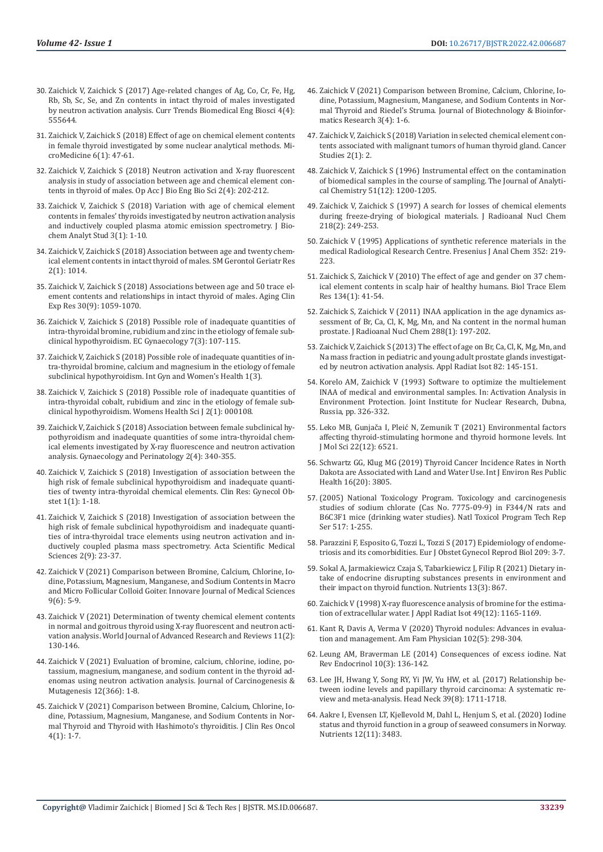- 30. [Zaichick V, Zaichick S \(2017\) Age-related changes of Ag, Co, Cr, Fe, Hg,](https://juniperpublishers.com/ctbeb/pdf/CTBEB.MS.ID.555644.pdf)  [Rb, Sb, Sc, Se, and Zn contents in intact thyroid of males investigated](https://juniperpublishers.com/ctbeb/pdf/CTBEB.MS.ID.555644.pdf)  [by neutron activation analysis. Curr Trends Biomedical Eng Biosci 4\(4\):](https://juniperpublishers.com/ctbeb/pdf/CTBEB.MS.ID.555644.pdf)  [555644.](https://juniperpublishers.com/ctbeb/pdf/CTBEB.MS.ID.555644.pdf)
- 31. [Zaichick V, Zaichick S \(2018\) Effect of age on chemical element contents](http://www.journals.tmkarpinski.com/index.php/mmed/article/view/33)  [in female thyroid investigated by some nuclear analytical methods. Mi](http://www.journals.tmkarpinski.com/index.php/mmed/article/view/33)[croMedicine 6\(1\): 47-61.](http://www.journals.tmkarpinski.com/index.php/mmed/article/view/33)
- 32. [Zaichick V, Zaichick S \(2018\) Neutron activation and X-ray fluorescent](https://lupinepublishers.com/biomedical-sciences-journal/fulltext/neutron-activation-and-x-Ray-fluorescent-analysis-in-study-of-association-between-age-and-chemical-element-contents-in-thyroid-of-males.ID.000144.php)  [analysis in study of association between age and chemical element con](https://lupinepublishers.com/biomedical-sciences-journal/fulltext/neutron-activation-and-x-Ray-fluorescent-analysis-in-study-of-association-between-age-and-chemical-element-contents-in-thyroid-of-males.ID.000144.php)[tents in thyroid of males. Op Acc J Bio Eng Bio Sci 2\(4\): 202-212.](https://lupinepublishers.com/biomedical-sciences-journal/fulltext/neutron-activation-and-x-Ray-fluorescent-analysis-in-study-of-association-between-age-and-chemical-element-contents-in-thyroid-of-males.ID.000144.php)
- 33. [Zaichick V, Zaichick S \(2018\) Variation with age of chemical element](https://www.sciforschenonline.org/journals/bioanalytical-techniques/JBAS-3-114.php)  [contents in females' thyroids investigated by neutron activation analysis](https://www.sciforschenonline.org/journals/bioanalytical-techniques/JBAS-3-114.php)  [and inductively coupled plasma atomic emission spectrometry. J Bio](https://www.sciforschenonline.org/journals/bioanalytical-techniques/JBAS-3-114.php)[chem Analyt Stud 3\(1\): 1-10.](https://www.sciforschenonline.org/journals/bioanalytical-techniques/JBAS-3-114.php)
- 34. [Zaichick V, Zaichick S \(2018\) Association between age and twenty chem](https://www.jsmcentral.org/sm-gerontology/fulltext_smggr-v2-1014.pdf)[ical element contents in intact thyroid of males. SM Gerontol Geriatr Res](https://www.jsmcentral.org/sm-gerontology/fulltext_smggr-v2-1014.pdf)  [2\(1\): 1014.](https://www.jsmcentral.org/sm-gerontology/fulltext_smggr-v2-1014.pdf)
- 35. [Zaichick V, Zaichick S \(2018\) Associations between age and 50 trace el](https://pubmed.ncbi.nlm.nih.gov/29396842/)[ement contents and relationships in intact thyroid of males. Aging Clin](https://pubmed.ncbi.nlm.nih.gov/29396842/)  [Exp Res 30\(9\): 1059-1070.](https://pubmed.ncbi.nlm.nih.gov/29396842/)
- 36. Zaichick V, Zaichick S (2018) Possible role of inadequate quantities of intra-thyroidal bromine, rubidium and zinc in the etiology of female subclinical hypothyroidism. EC Gynaecology 7(3): 107-115.
- 37. [Zaichick V, Zaichick S \(2018\) Possible role of inadequate quantities of in](file:///F:/New%20Journals/BJSTR.MS.ID.006687/BJSTR-END-22-RA-197_W/BJSTR-END-22-RA-197_W/Possible%20role%20of%20inadequate%20quantities%20of%20intra-thyroidal%20bromine,%20calcium%20and%20magnesium%20in%20the%20etiology%20of%20female%20subclinical%20hypothyroidism)[tra-thyroidal bromine, calcium and magnesium in the etiology of female](file:///F:/New%20Journals/BJSTR.MS.ID.006687/BJSTR-END-22-RA-197_W/BJSTR-END-22-RA-197_W/Possible%20role%20of%20inadequate%20quantities%20of%20intra-thyroidal%20bromine,%20calcium%20and%20magnesium%20in%20the%20etiology%20of%20female%20subclinical%20hypothyroidism)  [subclinical hypothyroidism. Int Gyn and Women's Health 1\(3\).](file:///F:/New%20Journals/BJSTR.MS.ID.006687/BJSTR-END-22-RA-197_W/BJSTR-END-22-RA-197_W/Possible%20role%20of%20inadequate%20quantities%20of%20intra-thyroidal%20bromine,%20calcium%20and%20magnesium%20in%20the%20etiology%20of%20female%20subclinical%20hypothyroidism)
- 38. [Zaichick V, Zaichick S \(2018\) Possible role of inadequate quantities of](https://www.researchgate.net/publication/328264119_Possible_Role_of_Inadequate_Quantities_of_Intra-Thyroidal_Cobalt_Rubidium_and_Zinc_in_the_Etiology_of_Female_Subclinical_Hypothyroidism)  [intra-thyroidal cobalt, rubidium and zinc in the etiology of female sub](https://www.researchgate.net/publication/328264119_Possible_Role_of_Inadequate_Quantities_of_Intra-Thyroidal_Cobalt_Rubidium_and_Zinc_in_the_Etiology_of_Female_Subclinical_Hypothyroidism)[clinical hypothyroidism. Womens Health Sci J 2\(1\): 000108.](https://www.researchgate.net/publication/328264119_Possible_Role_of_Inadequate_Quantities_of_Intra-Thyroidal_Cobalt_Rubidium_and_Zinc_in_the_Etiology_of_Female_Subclinical_Hypothyroidism)
- 39. [Zaichick V, Zaichick S \(2018\) Association between female subclinical hy](https://scientiaricerca.com/srgype/SRGYPE-02-00048.php)[pothyroidism and inadequate quantities of some intra-thyroidal chem](https://scientiaricerca.com/srgype/SRGYPE-02-00048.php)[ical elements investigated by X-ray fluorescence and neutron activation](https://scientiaricerca.com/srgype/SRGYPE-02-00048.php)  [analysis. Gynaecology and Perinatology 2\(4\): 340-355.](https://scientiaricerca.com/srgype/SRGYPE-02-00048.php)
- 40. [Zaichick V, Zaichick S \(2018\) Investigation of association between the](https://www.gudapuris.com/articles/10.31829-2640-6284.crgo2018-2(1)-105.pdf)  [high risk of female subclinical hypothyroidism and inadequate quanti](https://www.gudapuris.com/articles/10.31829-2640-6284.crgo2018-2(1)-105.pdf)[ties of twenty intra-thyroidal chemical elements. Clin Res: Gynecol Ob](https://www.gudapuris.com/articles/10.31829-2640-6284.crgo2018-2(1)-105.pdf)[stet 1\(1\): 1-18.](https://www.gudapuris.com/articles/10.31829-2640-6284.crgo2018-2(1)-105.pdf)
- 41. [Zaichick V, Zaichick S \(2018\) Investigation of association between the](https://www.actascientific.com/ASMS/pdf/ASMS-02-0144.pdf)  [high risk of female subclinical hypothyroidism and inadequate quanti](https://www.actascientific.com/ASMS/pdf/ASMS-02-0144.pdf)[ties of intra-thyroidal trace elements using neutron activation and in](https://www.actascientific.com/ASMS/pdf/ASMS-02-0144.pdf)[ductively coupled plasma mass spectrometry. Acta Scientific Medical](https://www.actascientific.com/ASMS/pdf/ASMS-02-0144.pdf)  [Sciences 2\(9\): 23-37.](https://www.actascientific.com/ASMS/pdf/ASMS-02-0144.pdf)
- 42. Zaichick V (2021) Comparison between Bromine, Calcium, Chlorine, Iodine, Potassium, Magnesium, Manganese, and Sodium Contents in Macro and Micro Follicular Colloid Goiter. Innovare Journal of Medical Sciences 9(6): 5-9.
- 43. [Zaichick V \(2021\) Determination of twenty chemical element contents](https://wjarr.com/content/determination-twenty-chemical-element-contents-normal-and-goitrous-thyroid-using-x-ray)  [in normal and goitrous thyroid using X-ray fluorescent and neutron acti](https://wjarr.com/content/determination-twenty-chemical-element-contents-normal-and-goitrous-thyroid-using-x-ray)[vation analysis. World Journal of Advanced Research and Reviews 11\(2\):](https://wjarr.com/content/determination-twenty-chemical-element-contents-normal-and-goitrous-thyroid-using-x-ray)  [130-146.](https://wjarr.com/content/determination-twenty-chemical-element-contents-normal-and-goitrous-thyroid-using-x-ray)
- 44. [Zaichick V \(2021\) Evaluation of bromine, calcium, chlorine, iodine, po](https://www.walshmedicalmedia.com/abstract/evaluation-of-bromine-calcium-chlorine-iodine-potassium-magnesium-manganese-and-sodium-content-in-the-thyroid-adenomas-u-84014.html)[tassium, magnesium, manganese, and sodium content in the thyroid ad](https://www.walshmedicalmedia.com/abstract/evaluation-of-bromine-calcium-chlorine-iodine-potassium-magnesium-manganese-and-sodium-content-in-the-thyroid-adenomas-u-84014.html)[enomas using neutron activation analysis. Journal of Carcinogenesis &](https://www.walshmedicalmedia.com/abstract/evaluation-of-bromine-calcium-chlorine-iodine-potassium-magnesium-manganese-and-sodium-content-in-the-thyroid-adenomas-u-84014.html)  [Mutagenesis 12\(366\): 1-8.](https://www.walshmedicalmedia.com/abstract/evaluation-of-bromine-calcium-chlorine-iodine-potassium-magnesium-manganese-and-sodium-content-in-the-thyroid-adenomas-u-84014.html)
- 45. [Zaichick V \(2021\) Comparison between Bromine, Calcium, Chlorine, Io](https://asclepiusopen.com/articles/739)[dine, Potassium, Magnesium, Manganese, and Sodium Contents in Nor](https://asclepiusopen.com/articles/739)[mal Thyroid and Thyroid with Hashimoto's thyroiditis. J Clin Res Oncol](https://asclepiusopen.com/articles/739)  [4\(1\): 1-7.](https://asclepiusopen.com/articles/739)
- 46. Zaichick V (2021) Comparison between Bromine, Calcium, Chlorine, Iodine, Potassium, Magnesium, Manganese, and Sodium Contents in Normal Thyroid and Riedel's Struma. Journal of Biotechnology & Bioinformatics Research 3(4): 1-6.
- 47. [Zaichick V, Zaichick S \(2018\) Variation in selected chemical element con](http://riverapublications.com/article/variation-in-selected-chemical-element-contents-associated-with-malignant-tumors-of-human-thyroid-gland)[tents associated with malignant tumors of human thyroid gland. Cancer](http://riverapublications.com/article/variation-in-selected-chemical-element-contents-associated-with-malignant-tumors-of-human-thyroid-gland) [Studies 2\(1\): 2.](http://riverapublications.com/article/variation-in-selected-chemical-element-contents-associated-with-malignant-tumors-of-human-thyroid-gland)
- 48. Zaichick V, Zaichick S (1996) Instrumental effect on the contamination of biomedical samples in the course of sampling. The Journal of Analytical Chemistry 51(12): 1200-1205.
- 49. [Zaichick V, Zaichick S \(1997\) A search for losses of chemical elements](https://link.springer.com/article/10.1007/BF02039345) [during freeze-drying of biological materials. J Radioanal Nucl Chem](https://link.springer.com/article/10.1007/BF02039345) [218\(2\): 249-253.](https://link.springer.com/article/10.1007/BF02039345)
- 50. [Zaichick V \(1995\) Applications of synthetic reference materials in the](https://link.springer.com/article/10.1007/BF00322330) [medical Radiological Research Centre. Fresenius J Anal Chem 352: 219-](https://link.springer.com/article/10.1007/BF00322330) [223.](https://link.springer.com/article/10.1007/BF00322330)
- 51. Zaichick S, Zaichick V (2010) The effect of age and gender on 37 chemical element contents in scalp hair of healthy humans. Biol Trace Elem Res 134(1): 41-54.
- 52. [Zaichick S, Zaichick V \(2011\) INAA application in the age dynamics as](https://www.researchgate.net/publication/251091633_INAA_application_in_the_age_dynamics_assessment_of_Br_Ca_Cl_K_Mg_Mn_and_Na_content_in_the_normal_human_prostate)[sessment of Br, Ca, Cl, K, Mg, Mn, and Na content in the normal human](https://www.researchgate.net/publication/251091633_INAA_application_in_the_age_dynamics_assessment_of_Br_Ca_Cl_K_Mg_Mn_and_Na_content_in_the_normal_human_prostate) [prostate. J Radioanal Nucl Chem 288\(1\): 197-202.](https://www.researchgate.net/publication/251091633_INAA_application_in_the_age_dynamics_assessment_of_Br_Ca_Cl_K_Mg_Mn_and_Na_content_in_the_normal_human_prostate)
- 53. [Zaichick V, Zaichick S \(2013\) The effect of age on Br, Ca, Cl, K, Mg, Mn, and](https://pubmed.ncbi.nlm.nih.gov/23994740/) [Na mass fraction in pediatric and young adult prostate glands investigat](https://pubmed.ncbi.nlm.nih.gov/23994740/)[ed by neutron activation analysis. Appl Radiat Isot 82: 145-151.](https://pubmed.ncbi.nlm.nih.gov/23994740/)
- 54. Korelo AM, Zaichick V (1993) Software to optimize the multielement INAA of medical and environmental samples. In: Activation Analysis in Environment Protection. Joint Institute for Nuclear Research, Dubna, Russia, pp. 326-332.
- 55. [Leko MB, Gunjača I, Pleić N, Zemunik T \(2021\) Environmental factors](https://www.ncbi.nlm.nih.gov/labs/pmc/articles/PMC8234807/) [affecting thyroid-stimulating hormone and thyroid hormone levels. Int](https://www.ncbi.nlm.nih.gov/labs/pmc/articles/PMC8234807/) [J Mol Sci 22\(12\): 6521.](https://www.ncbi.nlm.nih.gov/labs/pmc/articles/PMC8234807/)
- 56. Schwartz GG, Klug MG (2019) Thyroid Cancer Incidence Rates in North Dakota are Associated with Land and Water Use. Int J Environ Res Public Health 16(20): 3805.
- 57. [\(2005\) National Toxicology Program. Toxicology and carcinogenesis](https://pubmed.ncbi.nlm.nih.gov/16362061/) [studies of sodium chlorate \(Cas No. 7775-09-9\) in F344/N rats and](https://pubmed.ncbi.nlm.nih.gov/16362061/) [B6C3F1 mice \(drinking water studies\). Natl Toxicol Program Tech Rep](https://pubmed.ncbi.nlm.nih.gov/16362061/) [Ser 517: 1-255.](https://pubmed.ncbi.nlm.nih.gov/16362061/)
- 58. [Parazzini F, Esposito G, Tozzi L, Tozzi S \(2017\) Epidemiology of endome](https://pubmed.ncbi.nlm.nih.gov/27216973/)[triosis and its comorbidities. Eur J Obstet Gynecol Reprod Biol 209: 3-7.](https://pubmed.ncbi.nlm.nih.gov/27216973/)
- 59. [Sokal A, Jarmakiewicz Czaja S, Tabarkiewicz J, Filip R \(2021\) Dietary in](https://pubmed.ncbi.nlm.nih.gov/33800806/)[take of endocrine disrupting substances presents in environment and](https://pubmed.ncbi.nlm.nih.gov/33800806/) [their impact on thyroid function. Nutrients 13\(3\): 867.](https://pubmed.ncbi.nlm.nih.gov/33800806/)
- 60. [Zaichick V \(1998\) X-ray fluorescence analysis of bromine for the estima](https://pubmed.ncbi.nlm.nih.gov/9745697/)[tion of extracellular water. J Appl Radiat Isot 49\(12\): 1165-1169.](https://pubmed.ncbi.nlm.nih.gov/9745697/)
- 61. [Kant R, Davis A, Verma V \(2020\) Thyroid nodules: Advances in evalua](https://pubmed.ncbi.nlm.nih.gov/32866364/)[tion and management. Am Fam Physician 102\(5\): 298-304.](https://pubmed.ncbi.nlm.nih.gov/32866364/)
- 62. [Leung AM, Braverman LE \(2014\) Consequences of excess iodine. Nat](https://www.ncbi.nlm.nih.gov/labs/pmc/articles/PMC3976240/) [Rev Endocrinol 10\(3\): 136-142.](https://www.ncbi.nlm.nih.gov/labs/pmc/articles/PMC3976240/)
- 63. Lee JH, Hwang Y, Song RY, Yi JW, Yu HW, et al. (2017) Relationship between iodine levels and papillary thyroid carcinoma: A systematic review and meta-analysis. Head Neck 39(8): 1711-1718.
- 64. [Aakre I, Evensen LT, Kjellevold M, Dahl L, Henjum S, et al. \(2020\) Iodine](https://pubmed.ncbi.nlm.nih.gov/33202773/) [status and thyroid function in a group of seaweed consumers in Norway.](https://pubmed.ncbi.nlm.nih.gov/33202773/) [Nutrients 12\(11\): 3483.](https://pubmed.ncbi.nlm.nih.gov/33202773/)